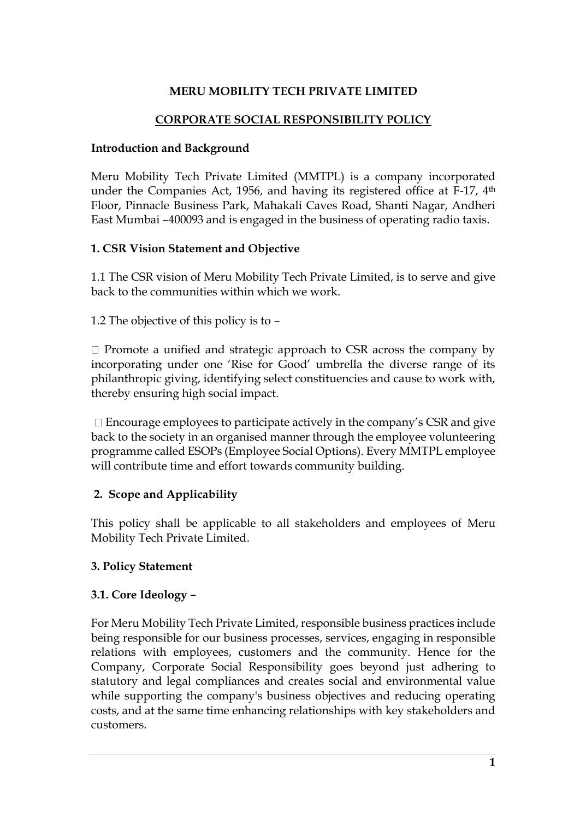# **MERU MOBILITY TECH PRIVATE LIMITED**

#### **CORPORATE SOCIAL RESPONSIBILITY POLICY**

#### **Introduction and Background**

Meru Mobility Tech Private Limited (MMTPL) is a company incorporated under the Companies Act, 1956, and having its registered office at F-17, 4<sup>th</sup> Floor, Pinnacle Business Park, Mahakali Caves Road, Shanti Nagar, Andheri East Mumbai –400093 and is engaged in the business of operating radio taxis.

### **1. CSR Vision Statement and Objective**

1.1 The CSR vision of Meru Mobility Tech Private Limited, is to serve and give back to the communities within which we work.

1.2 The objective of this policy is to –

 $\Box$  Promote a unified and strategic approach to CSR across the company by incorporating under one 'Rise for Good' umbrella the diverse range of its philanthropic giving, identifying select constituencies and cause to work with, thereby ensuring high social impact.

 $\Box$  Encourage employees to participate actively in the company's CSR and give back to the society in an organised manner through the employee volunteering programme called ESOPs (Employee Social Options). Every MMTPL employee will contribute time and effort towards community building.

### **2. Scope and Applicability**

This policy shall be applicable to all stakeholders and employees of Meru Mobility Tech Private Limited.

### **3. Policy Statement**

#### **3.1. Core Ideology –**

For Meru Mobility Tech Private Limited, responsible business practices include being responsible for our business processes, services, engaging in responsible relations with employees, customers and the community. Hence for the Company, Corporate Social Responsibility goes beyond just adhering to statutory and legal compliances and creates social and environmental value while supporting the company's business objectives and reducing operating costs, and at the same time enhancing relationships with key stakeholders and customers.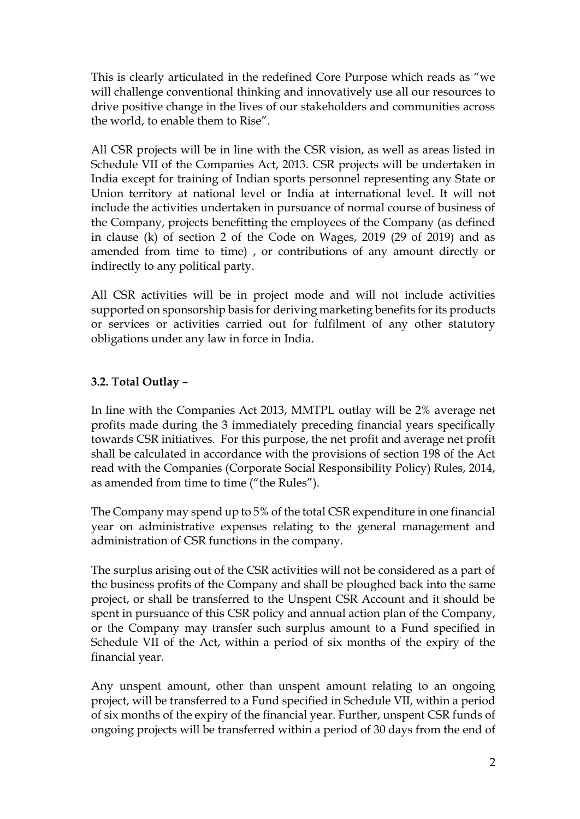This is clearly articulated in the redefined Core Purpose which reads as "we will challenge conventional thinking and innovatively use all our resources to drive positive change in the lives of our stakeholders and communities across the world, to enable them to Rise".

All CSR projects will be in line with the CSR vision, as well as areas listed in Schedule VII of the Companies Act, 2013. CSR projects will be undertaken in India except for training of Indian sports personnel representing any State or Union territory at national level or India at international level. It will not include the activities undertaken in pursuance of normal course of business of the Company, projects benefitting the employees of the Company (as defined in clause (k) of section 2 of the Code on Wages, 2019 (29 of 2019) and as amended from time to time) , or contributions of any amount directly or indirectly to any political party.

All CSR activities will be in project mode and will not include activities supported on sponsorship basis for deriving marketing benefits for its products or services or activities carried out for fulfilment of any other statutory obligations under any law in force in India.

# **3.2. Total Outlay –**

In line with the Companies Act 2013, MMTPL outlay will be 2% average net profits made during the 3 immediately preceding financial years specifically towards CSR initiatives. For this purpose, the net profit and average net profit shall be calculated in accordance with the provisions of section 198 of the Act read with the Companies (Corporate Social Responsibility Policy) Rules, 2014, as amended from time to time ("the Rules").

The Company may spend up to 5% of the total CSR expenditure in one financial year on administrative expenses relating to the general management and administration of CSR functions in the company.

The surplus arising out of the CSR activities will not be considered as a part of the business profits of the Company and shall be ploughed back into the same project, or shall be transferred to the Unspent CSR Account and it should be spent in pursuance of this CSR policy and annual action plan of the Company, or the Company may transfer such surplus amount to a Fund specified in Schedule VII of the Act, within a period of six months of the expiry of the financial year.

Any unspent amount, other than unspent amount relating to an ongoing project, will be transferred to a Fund specified in Schedule VII, within a period of six months of the expiry of the financial year. Further, unspent CSR funds of ongoing projects will be transferred within a period of 30 days from the end of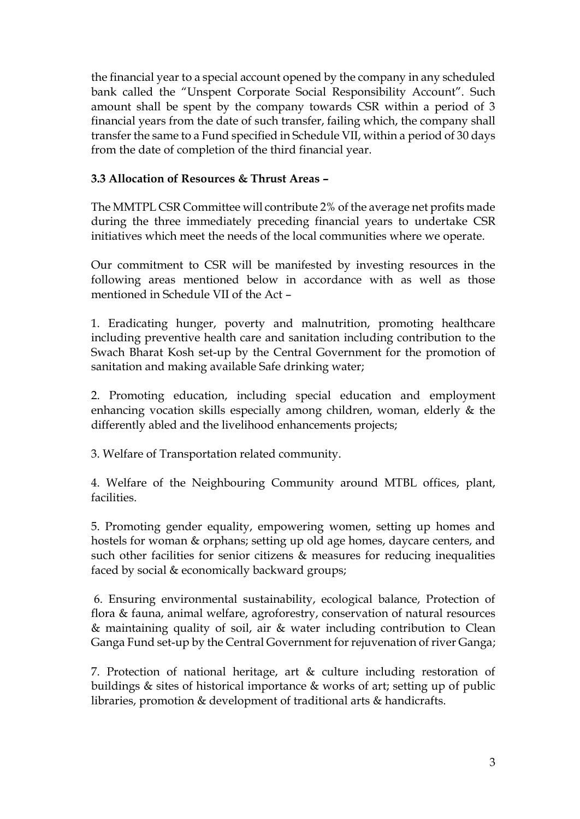the financial year to a special account opened by the company in any scheduled bank called the "Unspent Corporate Social Responsibility Account". Such amount shall be spent by the company towards CSR within a period of 3 financial years from the date of such transfer, failing which, the company shall transfer the same to a Fund specified in Schedule VII, within a period of 30 days from the date of completion of the third financial year.

### **3.3 Allocation of Resources & Thrust Areas –**

The MMTPL CSR Committee will contribute 2% of the average net profits made during the three immediately preceding financial years to undertake CSR initiatives which meet the needs of the local communities where we operate.

Our commitment to CSR will be manifested by investing resources in the following areas mentioned below in accordance with as well as those mentioned in Schedule VII of the Act –

1. Eradicating hunger, poverty and malnutrition, promoting healthcare including preventive health care and sanitation including contribution to the Swach Bharat Kosh set-up by the Central Government for the promotion of sanitation and making available Safe drinking water;

2. Promoting education, including special education and employment enhancing vocation skills especially among children, woman, elderly & the differently abled and the livelihood enhancements projects;

3. Welfare of Transportation related community.

4. Welfare of the Neighbouring Community around MTBL offices, plant, facilities.

5. Promoting gender equality, empowering women, setting up homes and hostels for woman & orphans; setting up old age homes, daycare centers, and such other facilities for senior citizens  $\&$  measures for reducing inequalities faced by social & economically backward groups;

6. Ensuring environmental sustainability, ecological balance, Protection of flora & fauna, animal welfare, agroforestry, conservation of natural resources & maintaining quality of soil, air & water including contribution to Clean Ganga Fund set-up by the Central Government for rejuvenation of river Ganga;

7. Protection of national heritage, art & culture including restoration of buildings & sites of historical importance & works of art; setting up of public libraries, promotion & development of traditional arts & handicrafts.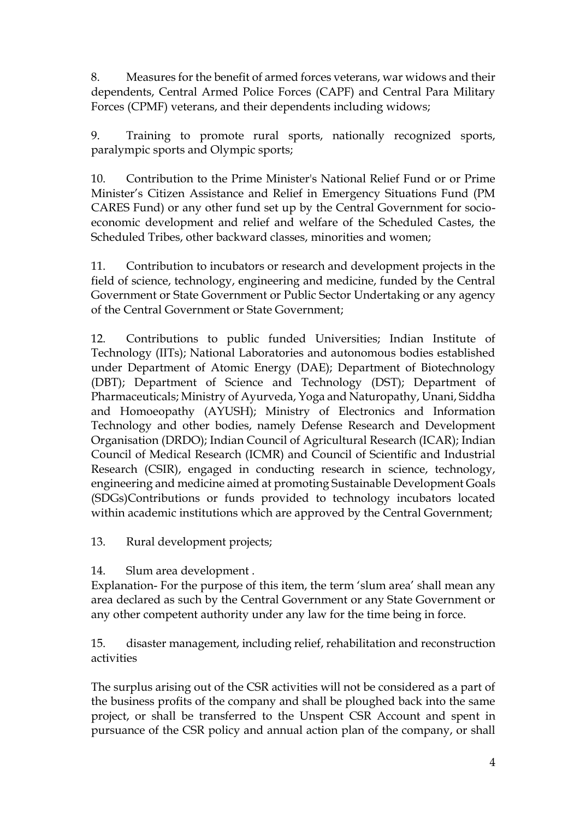8. Measures for the benefit of armed forces veterans, war widows and their dependents, Central Armed Police Forces (CAPF) and Central Para Military Forces (CPMF) veterans, and their dependents including widows;

9. Training to promote rural sports, nationally recognized sports, paralympic sports and Olympic sports;

10. Contribution to the Prime Minister's National Relief Fund or or Prime Minister's Citizen Assistance and Relief in Emergency Situations Fund (PM CARES Fund) or any other fund set up by the Central Government for socioeconomic development and relief and welfare of the Scheduled Castes, the Scheduled Tribes, other backward classes, minorities and women;

11. Contribution to incubators or research and development projects in the field of science, technology, engineering and medicine, funded by the Central Government or State Government or Public Sector Undertaking or any agency of the Central Government or State Government;

12. Contributions to public funded Universities; Indian Institute of Technology (IITs); National Laboratories and autonomous bodies established under Department of Atomic Energy (DAE); Department of Biotechnology (DBT); Department of Science and Technology (DST); Department of Pharmaceuticals; Ministry of Ayurveda, Yoga and Naturopathy, Unani, Siddha and Homoeopathy (AYUSH); Ministry of Electronics and Information Technology and other bodies, namely Defense Research and Development Organisation (DRDO); Indian Council of Agricultural Research (ICAR); Indian Council of Medical Research (ICMR) and Council of Scientific and Industrial Research (CSIR), engaged in conducting research in science, technology, engineering and medicine aimed at promoting Sustainable Development Goals (SDGs)Contributions or funds provided to technology incubators located within academic institutions which are approved by the Central Government;

13. Rural development projects;

14. Slum area development .

Explanation- For the purpose of this item, the term 'slum area' shall mean any area declared as such by the Central Government or any State Government or any other competent authority under any law for the time being in force.

15. disaster management, including relief, rehabilitation and reconstruction activities

The surplus arising out of the CSR activities will not be considered as a part of the business profits of the company and shall be ploughed back into the same project, or shall be transferred to the Unspent CSR Account and spent in pursuance of the CSR policy and annual action plan of the company, or shall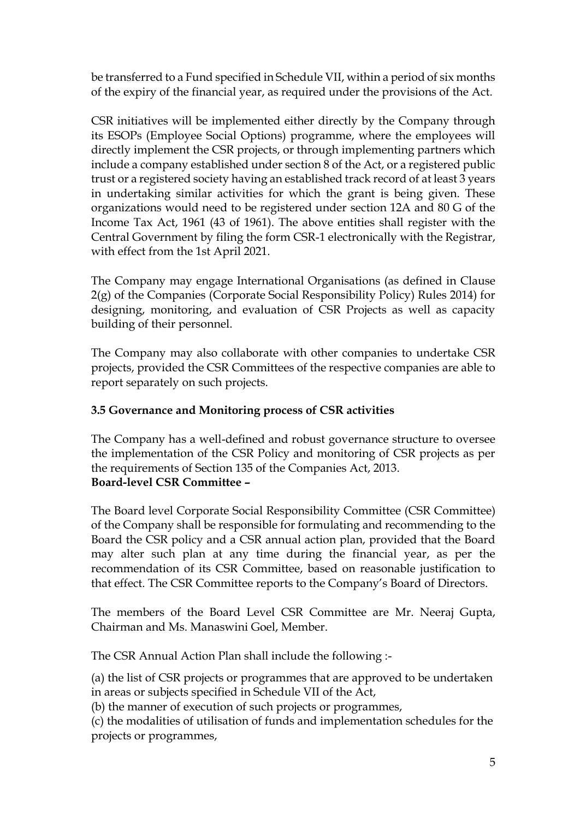be transferred to a Fund specified in Schedule VII, within a period of six months of the expiry of the financial year, as required under the provisions of the Act.

CSR initiatives will be implemented either directly by the Company through its ESOPs (Employee Social Options) programme, where the employees will directly implement the CSR projects, or through implementing partners which include a company established under section 8 of the Act, or a registered public trust or a registered society having an established track record of at least 3 years in undertaking similar activities for which the grant is being given. These organizations would need to be registered under section 12A and 80 G of the Income Tax Act, 1961 (43 of 1961). The above entities shall register with the Central Government by filing the form CSR-1 electronically with the Registrar, with effect from the 1st April 2021.

The Company may engage International Organisations (as defined in Clause 2(g) of the Companies (Corporate Social Responsibility Policy) Rules 2014) for designing, monitoring, and evaluation of CSR Projects as well as capacity building of their personnel.

The Company may also collaborate with other companies to undertake CSR projects, provided the CSR Committees of the respective companies are able to report separately on such projects.

### **3.5 Governance and Monitoring process of CSR activities**

The Company has a well-defined and robust governance structure to oversee the implementation of the CSR Policy and monitoring of CSR projects as per the requirements of Section 135 of the Companies Act, 2013. **Board-level CSR Committee –**

The Board level Corporate Social Responsibility Committee (CSR Committee) of the Company shall be responsible for formulating and recommending to the Board the CSR policy and a CSR annual action plan, provided that the Board may alter such plan at any time during the financial year, as per the recommendation of its CSR Committee, based on reasonable justification to that effect. The CSR Committee reports to the Company's Board of Directors.

The members of the Board Level CSR Committee are Mr. Neeraj Gupta, Chairman and Ms. Manaswini Goel, Member.

The CSR Annual Action Plan shall include the following :-

(a) the list of CSR projects or programmes that are approved to be undertaken in areas or subjects specified in Schedule VII of the Act,

(b) the manner of execution of such projects or programmes,

(c) the modalities of utilisation of funds and implementation schedules for the projects or programmes,